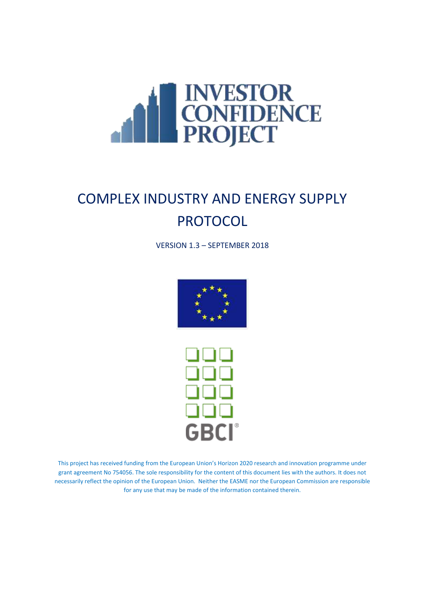

VERSION 1.3 – SEPTEMBER 2018





This project has received funding from the European Union's Horizon 2020 research and innovation programme under grant agreement No 754056. The sole responsibility for the content of this document lies with the authors. It does not necessarily reflect the opinion of the European Union. Neither the EASME nor the European Commission are responsible for any use that may be made of the information contained therein.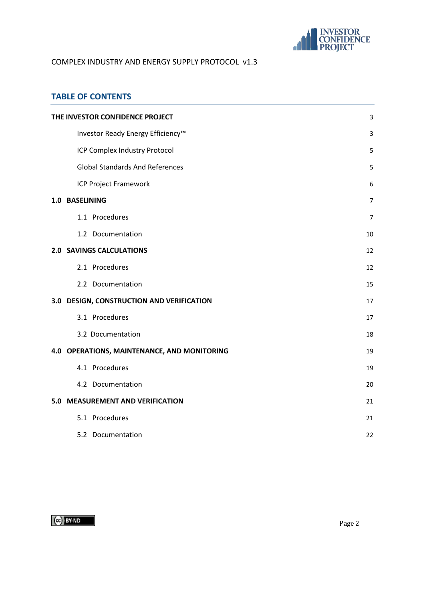

| <b>TABLE OF CONTENTS</b> |                                             |                |
|--------------------------|---------------------------------------------|----------------|
|                          | THE INVESTOR CONFIDENCE PROJECT             | 3              |
|                          | Investor Ready Energy Efficiency™           | 3              |
|                          | ICP Complex Industry Protocol               | 5              |
|                          | <b>Global Standards And References</b>      | 5              |
|                          | <b>ICP Project Framework</b>                | 6              |
|                          | 1.0 BASELINING                              | $\overline{7}$ |
|                          | 1.1 Procedures                              | $\overline{7}$ |
|                          | 1.2 Documentation                           | 10             |
|                          | <b>2.0 SAVINGS CALCULATIONS</b>             | 12             |
|                          | 2.1 Procedures                              | 12             |
|                          | 2.2 Documentation                           | 15             |
|                          | 3.0 DESIGN, CONSTRUCTION AND VERIFICATION   | 17             |
|                          | 3.1 Procedures                              | 17             |
|                          | 3.2 Documentation                           | 18             |
|                          | 4.0 OPERATIONS, MAINTENANCE, AND MONITORING | 19             |
|                          | 4.1 Procedures                              | 19             |
|                          | 4.2 Documentation                           | 20             |
|                          | 5.0 MEASUREMENT AND VERIFICATION            | 21             |
|                          | 5.1 Procedures                              | 21             |
|                          | 5.2 Documentation                           | 22             |

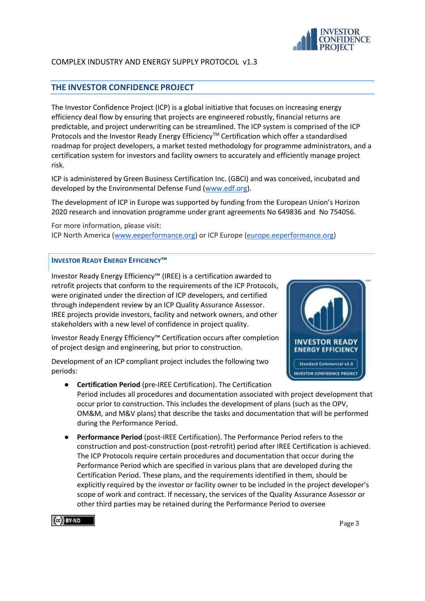

#### <span id="page-2-0"></span>**THE INVESTOR CONFIDENCE PROJECT**

The Investor Confidence Project (ICP) is a global initiative that focuses on increasing energy efficiency deal flow by ensuring that projects are engineered robustly, financial returns are predictable, and project underwriting can be streamlined. The ICP system is comprised of the ICP Protocols and the Investor Ready Energy Efficiency™ Certification which offer a standardised roadmap for project developers, a market tested methodology for programme administrators, and a certification system for investors and facility owners to accurately and efficiently manage project risk.

ICP is administered by Green Business Certification Inc. (GBCI) and was conceived, incubated and developed by the Environmental Defense Fund [\(www.edf.org\)](http://www.edf.org/).

The development of ICP in Europe was supported by funding from the European Union's Horizon 2020 research and innovation programme under grant agreements No 649836 and No 754056.

For more information, please visit: ICP North America [\(www.eeperformance.org\)](http://www.eeperformance.org/) or ICP Europe [\(europe.eeperformance.org\)](http://europe.eeperformance.org/)

#### <span id="page-2-1"></span>**INVESTOR READY ENERGY EFFICIENCY™**

Investor Ready Energy Efficiency™ (IREE) is a certification awarded to retrofit projects that conform to the requirements of the ICP Protocols, were originated under the direction of ICP developers, and certified through independent review by an ICP Quality Assurance Assessor. IREE projects provide investors, facility and network owners, and other stakeholders with a new level of confidence in project quality.

Investor Ready Energy Efficiency™ Certification occurs after completion of project design and engineering, but prior to construction.

Development of an ICP compliant project includes the following two periods:

- **Certification Period** (pre-IREE Certification). The Certification Period includes all procedures and documentation associated with project development that occur prior to construction. This includes the development of plans (such as the OPV, OM&M, and M&V plans) that describe the tasks and documentation that will be performed during the Performance Period.
- **Performance Period** (post-IREE Certification). The Performance Period refers to the construction and post-construction (post-retrofit) period after IREE Certification is achieved. The ICP Protocols require certain procedures and documentation that occur during the Performance Period which are specified in various plans that are developed during the Certification Period. These plans, and the requirements identified in them, should be explicitly required by the investor or facility owner to be included in the project developer's scope of work and contract. If necessary, the services of the Quality Assurance Assessor or other third parties may be retained during the Performance Period to oversee



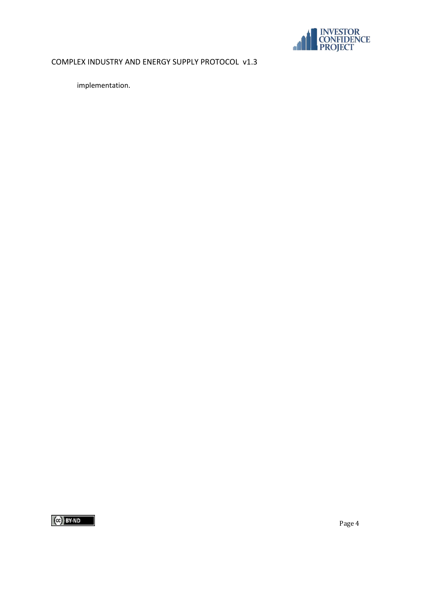

implementation.

 $(c)$  BY-ND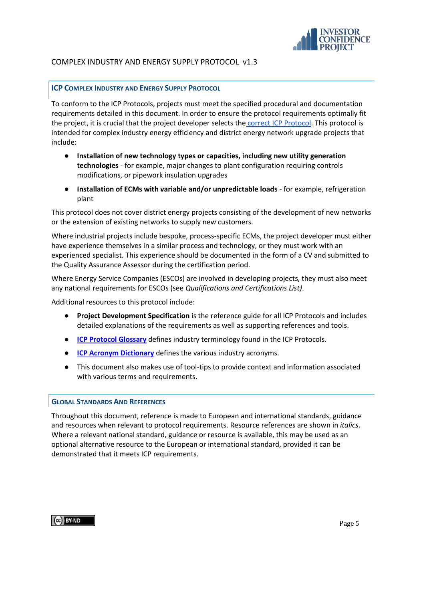

#### <span id="page-4-0"></span>**ICP COMPLEX INDUSTRY AND ENERGY SUPPLY PROTOCOL**

To conform to the ICP Protocols, projects must meet the specified procedural and documentation requirements detailed in this document. In order to ensure the protocol requirements optimally fit the project, it is crucial that the project developer selects the [correct ICP Protocol.](http://europe.eeperformance.org/projects.html) This protocol is intended for complex industry energy efficiency and district energy network upgrade projects that include:

- **Installation of new technology types or capacities, including new utility generation technologies** - for example, major changes to plant configuration requiring controls modifications, or pipework insulation upgrades
- **Installation of ECMs with variable and/or unpredictable loads**  for example, refrigeration plant

This protocol does not cover district energy projects consisting of the development of new networks or the extension of existing networks to supply new customers.

Where industrial projects include bespoke, process-specific ECMs, the project developer must either have experience themselves in a similar process and technology, or they must work with an experienced specialist. This experience should be documented in the form of a CV and submitted to the Quality Assurance Assessor during the certification period.

Where Energy Service Companies (ESCOs) are involved in developing projects, they must also meet any national requirements for ESCOs (see *Qualifications and Certifications List)*.

Additional resources to this protocol include:

- **Project Development Specification** is the reference guide for all ICP Protocols and includes detailed explanations of the requirements as well as supporting references and tools.
- **[ICP Protocol Glossary](http://europe.eeperformance.org/glossary.html)** defines industry terminology found in the ICP Protocols.
- **[ICP Acronym Dictionary](http://www.eeperformance.org/acronyms.html)** defines the various industry acronyms.
- This document also makes use of tool-tips to provide context and information associated with various terms and requirements.

#### <span id="page-4-1"></span>**GLOBAL STANDARDS AND REFERENCES**

Throughout this document, reference is made to European and international standards, guidance and resources when relevant to protocol requirements. Resource references are shown in *italics*. Where a relevant national standard, guidance or resource is available, this may be used as an optional alternative resource to the European or international standard, provided it can be demonstrated that it meets ICP requirements.

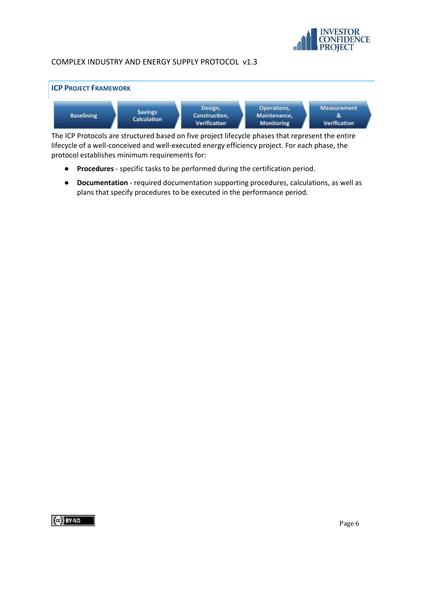

<span id="page-5-0"></span>

The ICP Protocols are structured based on five project lifecycle phases that represent the entire lifecycle of a well-conceived and well-executed energy efficiency project. For each phase, the protocol establishes minimum requirements for:

- **Procedures** specific tasks to be performed during the certification period.
- **Documentation** required documentation supporting procedures, calculations, as well as plans that specify procedures to be executed in the performance period.

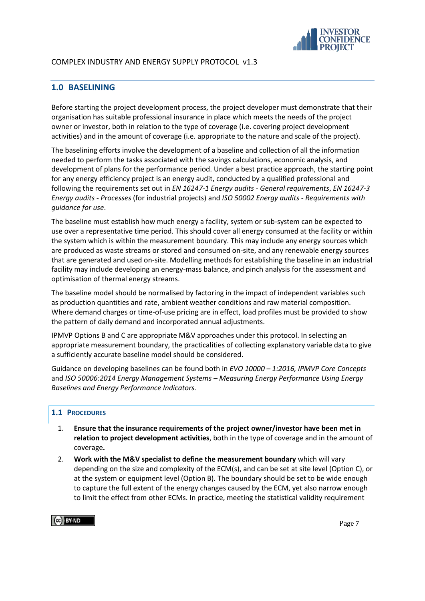

# <span id="page-6-0"></span>**1.0 BASELINING**

Before starting the project development process, the project developer must demonstrate that their organisation has suitable professional insurance in place which meets the needs of the project owner or investor, both in relation to the type of coverage (i.e. covering project development activities) and in the amount of coverage (i.e. appropriate to the nature and scale of the project).

The baselining efforts involve the development of a baseline and collection of all the information needed to perform the tasks associated with the savings calculations, economic analysis, and development of plans for the performance period. Under a best practice approach, the starting point for any energy efficiency project is an energy audit, conducted by a qualified professional and following the requirements set out in *EN 16247-1 Energy audits - General requirements*, *EN 16247-3 Energy audits - Processes* (for industrial projects) and *ISO 50002 Energy audits - Requirements with guidance for use*.

The baseline must establish how much energy a facility, system or sub-system can be expected to use over a representative time period. This should cover all energy consumed at the facility or within the system which is within the measurement boundary. This may include any energy sources which are produced as waste streams or stored and consumed on-site, and any renewable energy sources that are generated and used on-site. Modelling methods for establishing the baseline in an industrial facility may include developing an energy-mass balance, and pinch analysis for the assessment and optimisation of thermal energy streams.

The baseline model should be normalised by factoring in the impact of independent variables such as production quantities and rate, ambient weather conditions and raw material composition. Where demand charges or time-of-use pricing are in effect, load profiles must be provided to show the pattern of daily demand and incorporated annual adjustments.

IPMVP Options B and C are appropriate M&V approaches under this protocol. In selecting an appropriate measurement boundary, the practicalities of collecting explanatory variable data to give a sufficiently accurate baseline model should be considered.

Guidance on developing baselines can be found both in *EVO 10000 – 1:2016, IPMVP Core Concepts* and *ISO 50006:2014 Energy Management Systems – Measuring Energy Performance Using Energy Baselines and Energy Performance Indicators.*

#### <span id="page-6-1"></span>**1.1 PROCEDURES**

- 1. **Ensure that the insurance requirements of the project owner/investor have been met in relation to project development activities**, both in the type of coverage and in the amount of coverage**.**
- 2. **Work with the M&V specialist to define the measurement boundary** which will vary depending on the size and complexity of the ECM(s), and can be set at site level (Option C), or at the system or equipment level (Option B). The boundary should be set to be wide enough to capture the full extent of the energy changes caused by the ECM, yet also narrow enough to limit the effect from other ECMs. In practice, meeting the statistical validity requirement

**CO** BY-ND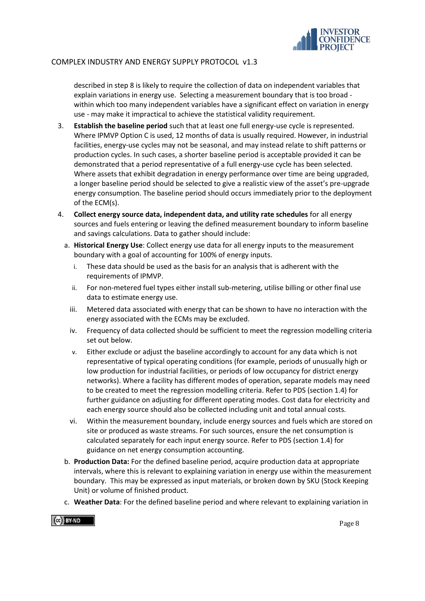

described in step 8 is likely to require the collection of data on independent variables that explain variations in energy use. Selecting a measurement boundary that is too broad within which too many independent variables have a significant effect on variation in energy use - may make it impractical to achieve the statistical validity requirement.

- 3. **Establish the baseline period** such that at least one full energy-use cycle is represented. Where IPMVP Option C is used, 12 months of data is usually required. However, in industrial facilities, energy-use cycles may not be seasonal, and may instead relate to shift patterns or production cycles. In such cases, a shorter baseline period is acceptable provided it can be demonstrated that a period representative of a full energy-use cycle has been selected. Where assets that exhibit degradation in energy performance over time are being upgraded, a longer baseline period should be selected to give a realistic view of the asset's pre-upgrade energy consumption. The baseline period should occurs immediately prior to the deployment of the ECM(s).
- 4. **Collect energy source data, independent data, and utility rate schedules** for all energy sources and fuels entering or leaving the defined measurement boundary to inform baseline and savings calculations. Data to gather should include:
	- a. **Historical Energy Use**: Collect energy use data for all energy inputs to the measurement boundary with a goal of accounting for 100% of energy inputs.
		- i. These data should be used as the basis for an analysis that is adherent with the requirements of IPMVP.
		- ii. For non-metered fuel types either install sub-metering, utilise billing or other final use data to estimate energy use.
		- iii. Metered data associated with energy that can be shown to have no interaction with the energy associated with the ECMs may be excluded.
		- iv. Frequency of data collected should be sufficient to meet the regression modelling criteria set out below.
		- v. Either exclude or adjust the baseline accordingly to account for any data which is not representative of typical operating conditions (for example, periods of unusually high or low production for industrial facilities, or periods of low occupancy for district energy networks). Where a facility has different modes of operation, separate models may need to be created to meet the regression modelling criteria. Refer to PDS (section 1.4) for further guidance on adjusting for different operating modes. Cost data for electricity and each energy source should also be collected including unit and total annual costs.
		- vi. Within the measurement boundary, include energy sources and fuels which are stored on site or produced as waste streams. For such sources, ensure the net consumption is calculated separately for each input energy source. Refer to PDS (section 1.4) for guidance on net energy consumption accounting.
	- b. **Production Data:** For the defined baseline period, acquire production data at appropriate intervals, where this is relevant to explaining variation in energy use within the measurement boundary. This may be expressed as input materials, or broken down by SKU (Stock Keeping Unit) or volume of finished product.
	- c. **Weather Data**: For the defined baseline period and where relevant to explaining variation in

 $\bigcirc$  BY-ND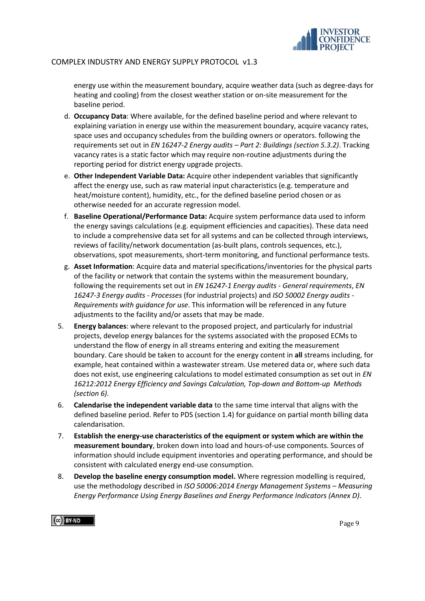

energy use within the measurement boundary, acquire weather data (such as degree-days for heating and cooling) from the closest weather station or on-site measurement for the baseline period.

- d. **Occupancy Data**: Where available, for the defined baseline period and where relevant to explaining variation in energy use within the measurement boundary, acquire vacancy rates, space uses and occupancy schedules from the building owners or operators. following the requirements set out in *EN 16247-2 Energy audits – Part 2: Buildings (section 5.3.2)*. Tracking vacancy rates is a static factor which may require non-routine adjustments during the reporting period for district energy upgrade projects.
- e. **Other Independent Variable Data:** Acquire other independent variables that significantly affect the energy use, such as raw material input characteristics (e.g. temperature and heat/moisture content), humidity, etc., for the defined baseline period chosen or as otherwise needed for an accurate regression model.
- f. **Baseline Operational/Performance Data:** Acquire system performance data used to inform the energy savings calculations (e.g. equipment efficiencies and capacities). These data need to include a comprehensive data set for all systems and can be collected through interviews, reviews of facility/network documentation (as-built plans, controls sequences, etc.), observations, spot measurements, short-term monitoring, and functional performance tests.
- g. **Asset Information**: Acquire data and material specifications/inventories for the physical parts of the facility or network that contain the systems within the measurement boundary, following the requirements set out in *EN 16247-1 Energy audits - General requirements*, *EN 16247-3 Energy audits - Processes* (for industrial projects) and *ISO 50002 Energy audits - Requirements with guidance for use*. This information will be referenced in any future adjustments to the facility and/or assets that may be made.
- 5. **Energy balances**: where relevant to the proposed project, and particularly for industrial projects, develop energy balances for the systems associated with the proposed ECMs to understand the flow of energy in all streams entering and exiting the measurement boundary. Care should be taken to account for the energy content in **all** streams including, for example, heat contained within a wastewater stream. Use metered data or, where such data does not exist, use engineering calculations to model estimated consumption as set out in *EN 16212:2012 Energy Efficiency and Savings Calculation, Top-down and Bottom-up Methods (section 6)*.
- 6. **Calendarise the independent variable data** to the same time interval that aligns with the defined baseline period. Refer to PDS (section 1.4) for guidance on partial month billing data calendarisation.
- 7. **Establish the energy-use characteristics of the equipment or system which are within the measurement boundary**, broken down into load and hours-of-use components. Sources of information should include equipment inventories and operating performance, and should be consistent with calculated energy end-use consumption.
- 8. **Develop the baseline energy consumption model.** Where regression modelling is required, use the methodology described in *ISO 50006:2014 Energy Management Systems – Measuring Energy Performance Using Energy Baselines and Energy Performance Indicators (Annex D)*.

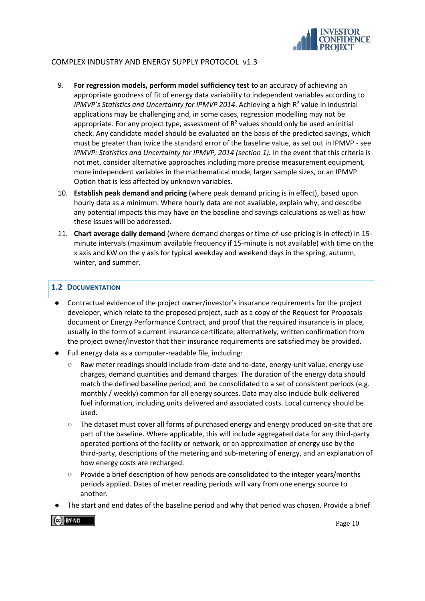

- 9. **For regression models, perform model sufficiency test** to an accuracy of achieving an appropriate goodness of fit of energy data variability to independent variables according to IPMVP's Statistics and Uncertainty for IPMVP 2014. Achieving a high R<sup>2</sup> value in industrial applications may be challenging and, in some cases, regression modelling may not be appropriate. For any project type, assessment of  $R^2$  values should only be used an initial check. Any candidate model should be evaluated on the basis of the predicted savings, which must be greater than twice the standard error of the baseline value, as set out in IPMVP - see *IPMVP: Statistics and Uncertainty for IPMVP, 2014 (section 1).* In the event that this criteria is not met, consider alternative approaches including more precise measurement equipment, more independent variables in the mathematical mode, larger sample sizes, or an IPMVP Option that is less affected by unknown variables.
- 10. **Establish peak demand and pricing** (where peak demand pricing is in effect), based upon hourly data as a minimum. Where hourly data are not available, explain why, and describe any potential impacts this may have on the baseline and savings calculations as well as how these issues will be addressed.
- 11. **Chart average daily demand** (where demand charges or time-of-use pricing is in effect) in 15 minute intervals (maximum available frequency if 15-minute is not available) with time on the x axis and kW on the y axis for typical weekday and weekend days in the spring, autumn, winter, and summer.

#### <span id="page-9-0"></span>**1.2 DOCUMENTATION**

- Contractual evidence of the project owner/investor's insurance requirements for the project developer, which relate to the proposed project, such as a copy of the Request for Proposals document or Energy Performance Contract, and proof that the required insurance is in place, usually in the form of a current insurance certificate; alternatively, written confirmation from the project owner/investor that their insurance requirements are satisfied may be provided.
- Full energy data as a computer-readable file, including:
	- Raw meter readings should include from-date and to-date, energy-unit value, energy use charges, demand quantities and demand charges. The duration of the energy data should match the defined baseline period, and be consolidated to a set of consistent periods (e.g. monthly / weekly) common for all energy sources. Data may also include bulk-delivered fuel information, including units delivered and associated costs. Local currency should be used.
	- The dataset must cover all forms of purchased energy and energy produced on-site that are part of the baseline. Where applicable, this will include aggregated data for any third-party operated portions of the facility or network, or an approximation of energy use by the third-party, descriptions of the metering and sub-metering of energy, and an explanation of how energy costs are recharged.
	- Provide a brief description of how periods are consolidated to the integer years/months periods applied. Dates of meter reading periods will vary from one energy source to another.
- The start and end dates of the baseline period and why that period was chosen. Provide a brief

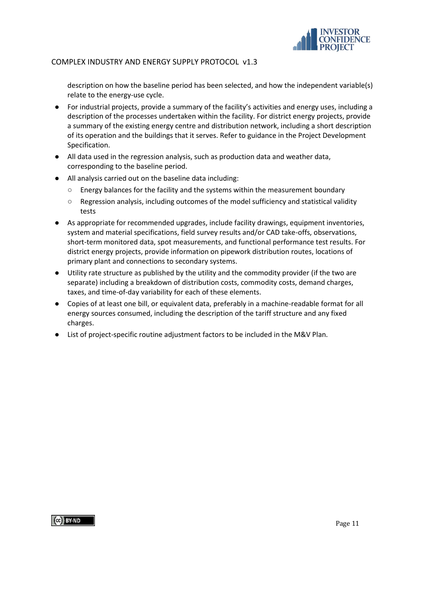

description on how the baseline period has been selected, and how the independent variable(s) relate to the energy-use cycle.

- For industrial projects, provide a summary of the facility's activities and energy uses, including a description of the processes undertaken within the facility. For district energy projects, provide a summary of the existing energy centre and distribution network, including a short description of its operation and the buildings that it serves. Refer to guidance in the Project Development Specification.
- All data used in the regression analysis, such as production data and weather data, corresponding to the baseline period.
- All analysis carried out on the baseline data including:
	- $\circ$  Energy balances for the facility and the systems within the measurement boundary
	- Regression analysis, including outcomes of the model sufficiency and statistical validity tests
- As appropriate for recommended upgrades, include facility drawings, equipment inventories, system and material specifications, field survey results and/or CAD take-offs, observations, short-term monitored data, spot measurements, and functional performance test results. For district energy projects, provide information on pipework distribution routes, locations of primary plant and connections to secondary systems.
- Utility rate structure as published by the utility and the commodity provider (if the two are separate) including a breakdown of distribution costs, commodity costs, demand charges, taxes, and time-of-day variability for each of these elements.
- Copies of at least one bill, or equivalent data, preferably in a machine-readable format for all energy sources consumed, including the description of the tariff structure and any fixed charges.
- List of project-specific routine adjustment factors to be included in the M&V Plan.

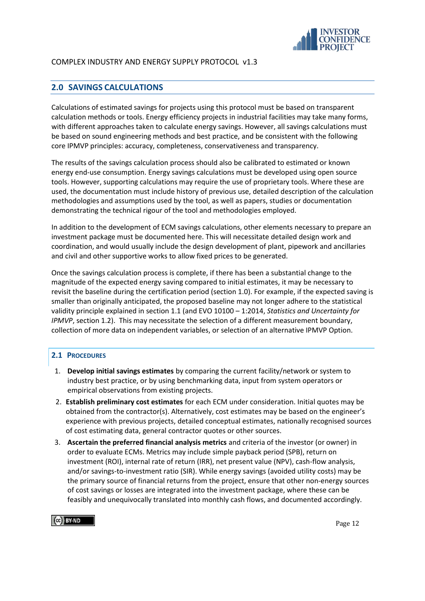

# <span id="page-11-0"></span>**2.0 SAVINGS CALCULATIONS**

Calculations of estimated savings for projects using this protocol must be based on transparent calculation methods or tools. Energy efficiency projects in industrial facilities may take many forms, with different approaches taken to calculate energy savings. However, all savings calculations must be based on sound engineering methods and best practice, and be consistent with the following core IPMVP principles: accuracy, completeness, conservativeness and transparency.

The results of the savings calculation process should also be calibrated to estimated or known energy end-use consumption. Energy savings calculations must be developed using open source tools. However, supporting calculations may require the use of proprietary tools. Where these are used, the documentation must include history of previous use, detailed description of the calculation methodologies and assumptions used by the tool, as well as papers, studies or documentation demonstrating the technical rigour of the tool and methodologies employed.

In addition to the development of ECM savings calculations, other elements necessary to prepare an investment package must be documented here. This will necessitate detailed design work and coordination, and would usually include the design development of plant, pipework and ancillaries and civil and other supportive works to allow fixed prices to be generated.

Once the savings calculation process is complete, if there has been a substantial change to the magnitude of the expected energy saving compared to initial estimates, it may be necessary to revisit the baseline during the certification period (section 1.0). For example, if the expected saving is smaller than originally anticipated, the proposed baseline may not longer adhere to the statistical validity principle explained in section 1.1 (and EVO 10100 – 1:2014, *Statistics and Uncertainty for IPMVP*, section 1.2). This may necessitate the selection of a different measurement boundary, collection of more data on independent variables, or selection of an alternative IPMVP Option.

#### <span id="page-11-1"></span>**2.1 PROCEDURES**

- 1. **Develop initial savings estimates** by comparing the current facility/network or system to industry best practice, or by using benchmarking data, input from system operators or empirical observations from existing projects.
- 2. **Establish preliminary cost estimates** for each ECM under consideration. Initial quotes may be obtained from the contractor(s). Alternatively, cost estimates may be based on the engineer's experience with previous projects, detailed conceptual estimates, nationally recognised sources of cost estimating data, general contractor quotes or other sources.
- 3. **Ascertain the preferred financial analysis metrics** and criteria of the investor (or owner) in order to evaluate ECMs. Metrics may include simple payback period (SPB), return on investment (ROI), internal rate of return (IRR), net present value (NPV), cash-flow analysis, and/or savings-to-investment ratio (SIR). While energy savings (avoided utility costs) may be the primary source of financial returns from the project, ensure that other non-energy sources of cost savings or losses are integrated into the investment package, where these can be feasibly and unequivocally translated into monthly cash flows, and documented accordingly.

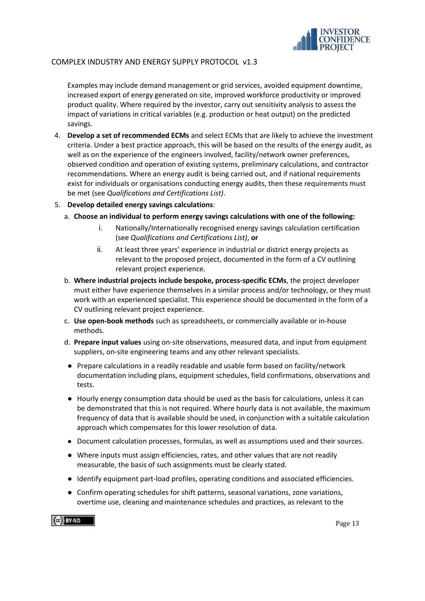

Examples may include demand management or grid services, avoided equipment downtime, increased export of energy generated on site, improved workforce productivity or improved product quality. Where required by the investor, carry out sensitivity analysis to assess the impact of variations in critical variables (e.g. production or heat output) on the predicted savings.

- 4. **Develop a set of recommended ECMs** and select ECMs that are likely to achieve the investment criteria. Under a best practice approach, this will be based on the results of the energy audit, as well as on the experience of the engineers involved, facility/network owner preferences, observed condition and operation of existing systems, preliminary calculations, and contractor recommendations. Where an energy audit is being carried out, and if national requirements exist for individuals or organisations conducting energy audits, then these requirements must be met (see *Qualifications and Certifications List)*.
- 5. **Develop detailed energy savings calculations**:
	- a. **Choose an individual to perform energy savings calculations with one of the following:**
		- i. Nationally/Internationally recognised energy savings calculation certification (see *Qualifications and Certifications List)*, **or**
		- ii. At least three years' experience in industrial or district energy projects as relevant to the proposed project, documented in the form of a CV outlining relevant project experience.
	- b. **Where industrial projects include bespoke, process-specific ECMs**, the project developer must either have experience themselves in a similar process and/or technology, or they must work with an experienced specialist. This experience should be documented in the form of a CV outlining relevant project experience.
	- c. **Use open-book methods** such as spreadsheets, or commercially available or in-house methods.
	- d. **Prepare input values** using on-site observations, measured data, and input from equipment suppliers, on-site engineering teams and any other relevant specialists.
	- Prepare calculations in a readily readable and usable form based on facility/network documentation including plans, equipment schedules, field confirmations, observations and tests.
	- Hourly energy consumption data should be used as the basis for calculations, unless it can be demonstrated that this is not required. Where hourly data is not available, the maximum frequency of data that is available should be used, in conjunction with a suitable calculation approach which compensates for this lower resolution of data.
	- Document calculation processes, formulas, as well as assumptions used and their sources.
	- Where inputs must assign efficiencies, rates, and other values that are not readily measurable, the basis of such assignments must be clearly stated.
	- Identify equipment part-load profiles, operating conditions and associated efficiencies.
	- Confirm operating schedules for shift patterns, seasonal variations, zone variations, overtime use, cleaning and maintenance schedules and practices, as relevant to the

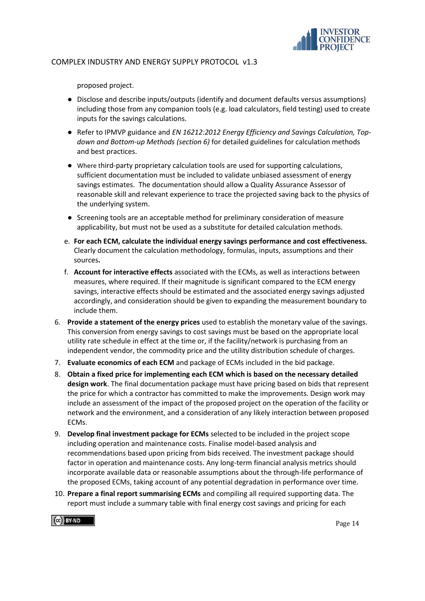

proposed project.

- Disclose and describe inputs/outputs (identify and document defaults versus assumptions) including those from any companion tools (e.g. load calculators, field testing) used to create inputs for the savings calculations.
- Refer to IPMVP guidance and *EN 16212:2012 Energy Efficiency and Savings Calculation, Topdown and Bottom-up Methods (section 6)* for detailed guidelines for calculation methods and best practices.
- Where third-party proprietary calculation tools are used for supporting calculations, sufficient documentation must be included to validate unbiased assessment of energy savings estimates. The documentation should allow a Quality Assurance Assessor of reasonable skill and relevant experience to trace the projected saving back to the physics of the underlying system.
- Screening tools are an acceptable method for preliminary consideration of measure applicability, but must not be used as a substitute for detailed calculation methods.
- e. **For each ECM, calculate the individual energy savings performance and cost effectiveness.**  Clearly document the calculation methodology, formulas, inputs, assumptions and their sources**.**
- f. **Account for interactive effects** associated with the ECMs, as well as interactions between measures, where required. If their magnitude is significant compared to the ECM energy savings, interactive effects should be estimated and the associated energy savings adjusted accordingly, and consideration should be given to expanding the measurement boundary to include them.
- 6. **Provide a statement of the energy prices** used to establish the monetary value of the savings. This conversion from energy savings to cost savings must be based on the appropriate local utility rate schedule in effect at the time or, if the facility/network is purchasing from an independent vendor, the commodity price and the utility distribution schedule of charges.
- 7. **Evaluate economics of each ECM** and package of ECMs included in the bid package.
- 8. **Obtain a fixed price for implementing each ECM which is based on the necessary detailed design work**. The final documentation package must have pricing based on bids that represent the price for which a contractor has committed to make the improvements. Design work may include an assessment of the impact of the proposed project on the operation of the facility or network and the environment, and a consideration of any likely interaction between proposed ECMs.
- 9. **Develop final investment package for ECMs** selected to be included in the project scope including operation and maintenance costs. Finalise model-based analysis and recommendations based upon pricing from bids received. The investment package should factor in operation and maintenance costs. Any long-term financial analysis metrics should incorporate available data or reasonable assumptions about the through-life performance of the proposed ECMs, taking account of any potential degradation in performance over time.
- 10. **Prepare a final report summarising ECMs** and compiling all required supporting data. The report must include a summary table with final energy cost savings and pricing for each

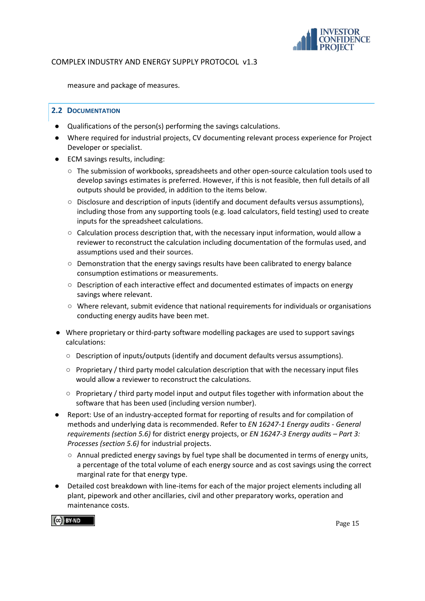

measure and package of measures.

#### <span id="page-14-0"></span>**2.2 DOCUMENTATION**

- Qualifications of the person(s) performing the savings calculations.
- Where required for industrial projects, CV documenting relevant process experience for Project Developer or specialist.
- ECM savings results, including:
	- The submission of workbooks, spreadsheets and other open-source calculation tools used to develop savings estimates is preferred. However, if this is not feasible, then full details of all outputs should be provided, in addition to the items below.
	- Disclosure and description of inputs (identify and document defaults versus assumptions), including those from any supporting tools (e.g. load calculators, field testing) used to create inputs for the spreadsheet calculations.
	- Calculation process description that, with the necessary input information, would allow a reviewer to reconstruct the calculation including documentation of the formulas used, and assumptions used and their sources.
	- Demonstration that the energy savings results have been calibrated to energy balance consumption estimations or measurements.
	- Description of each interactive effect and documented estimates of impacts on energy savings where relevant.
	- Where relevant, submit evidence that national requirements for individuals or organisations conducting energy audits have been met.
- Where proprietary or third-party software modelling packages are used to support savings calculations:
	- Description of inputs/outputs (identify and document defaults versus assumptions).
	- Proprietary / third party model calculation description that with the necessary input files would allow a reviewer to reconstruct the calculations.
	- Proprietary / third party model input and output files together with information about the software that has been used (including version number).
- Report: Use of an industry-accepted format for reporting of results and for compilation of methods and underlying data is recommended. Refer to *EN 16247-1 Energy audits - General requirements (section 5.6)* for district energy projects, or *EN 16247-3 Energy audits – Part 3: Processes (section 5.6)* for industrial projects.
	- Annual predicted energy savings by fuel type shall be documented in terms of energy units, a percentage of the total volume of each energy source and as cost savings using the correct marginal rate for that energy type.
- Detailed cost breakdown with line-items for each of the major project elements including all plant, pipework and other ancillaries, civil and other preparatory works, operation and maintenance costs.

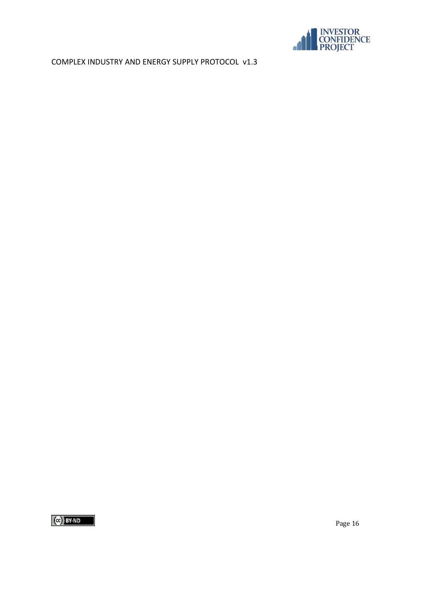



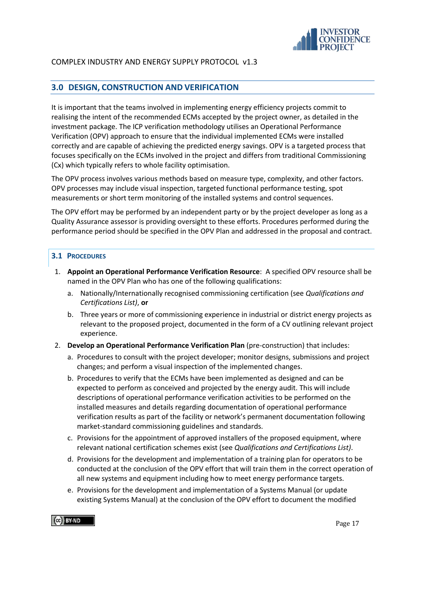

## <span id="page-16-0"></span>**3.0 DESIGN, CONSTRUCTION AND VERIFICATION**

It is important that the teams involved in implementing energy efficiency projects commit to realising the intent of the recommended ECMs accepted by the project owner, as detailed in the investment package. The ICP verification methodology utilises an Operational Performance Verification (OPV) approach to ensure that the individual implemented ECMs were installed correctly and are capable of achieving the predicted energy savings. OPV is a targeted process that focuses specifically on the ECMs involved in the project and differs from traditional Commissioning (Cx) which typically refers to whole facility optimisation.

The OPV process involves various methods based on measure type, complexity, and other factors. OPV processes may include visual inspection, targeted functional performance testing, spot measurements or short term monitoring of the installed systems and control sequences.

The OPV effort may be performed by an independent party or by the project developer as long as a Quality Assurance assessor is providing oversight to these efforts. Procedures performed during the performance period should be specified in the OPV Plan and addressed in the proposal and contract.

#### <span id="page-16-1"></span>**3.1 PROCEDURES**

- 1. **Appoint an Operational Performance Verification Resource**: A specified OPV resource shall be named in the OPV Plan who has one of the following qualifications:
	- a. Nationally/Internationally recognised commissioning certification (see *Qualifications and Certifications List)*, **or**
	- b. Three years or more of commissioning experience in industrial or district energy projects as relevant to the proposed project, documented in the form of a CV outlining relevant project experience.
- 2. **Develop an Operational Performance Verification Plan** (pre-construction) that includes:
	- a. Procedures to consult with the project developer; monitor designs, submissions and project changes; and perform a visual inspection of the implemented changes.
	- b. Procedures to verify that the ECMs have been implemented as designed and can be expected to perform as conceived and projected by the energy audit. This will include descriptions of operational performance verification activities to be performed on the installed measures and details regarding documentation of operational performance verification results as part of the facility or network's permanent documentation following market-standard commissioning guidelines and standards.
	- c. Provisions for the appointment of approved installers of the proposed equipment, where relevant national certification schemes exist (see *Qualifications and Certifications List)*.
	- d. Provisions for the development and implementation of a training plan for operators to be conducted at the conclusion of the OPV effort that will train them in the correct operation of all new systems and equipment including how to meet energy performance targets.
	- e. Provisions for the development and implementation of a Systems Manual (or update existing Systems Manual) at the conclusion of the OPV effort to document the modified

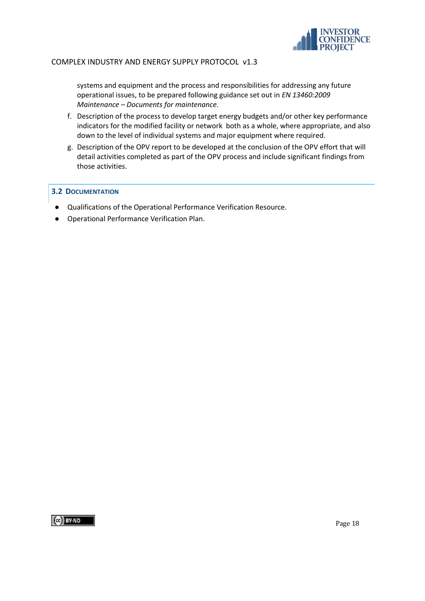

systems and equipment and the process and responsibilities for addressing any future operational issues, to be prepared following guidance set out i[n](http://www.techstreet.com/products/1852923?product_id=1852923&sid=goog&gclid=CNzIydS08bYCFaaDQgodij0AvA) *EN 13460:2009 Maintenance – Documents for maintenance.*

- f. Description of the process to develop target energy budgets and/or other key performance indicators for the modified facility or network both as a whole, where appropriate, and also down to the level of individual systems and major equipment where required.
- g. Description of the OPV report to be developed at the conclusion of the OPV effort that will detail activities completed as part of the OPV process and include significant findings from those activities.

#### <span id="page-17-0"></span>**3.2 DOCUMENTATION**

- Qualifications of the Operational Performance Verification Resource.
- Operational Performance Verification Plan.

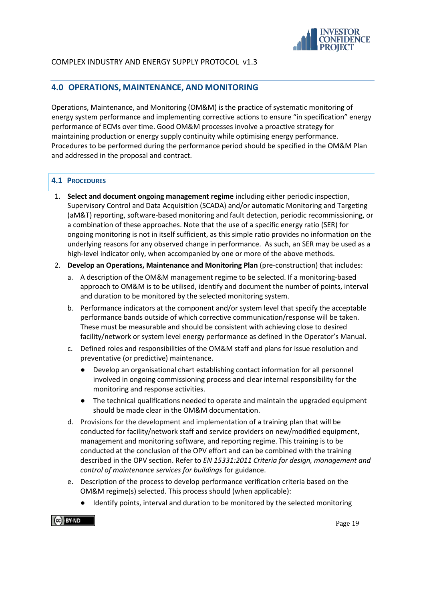

### <span id="page-18-0"></span>**4.0 OPERATIONS, MAINTENANCE, AND MONITORING**

Operations, Maintenance, and Monitoring (OM&M) is the practice of systematic monitoring of energy system performance and implementing corrective actions to ensure "in specification" energy performance of ECMs over time. Good OM&M processes involve a proactive strategy for maintaining production or energy supply continuity while optimising energy performance. Procedures to be performed during the performance period should be specified in the OM&M Plan and addressed in the proposal and contract.

#### <span id="page-18-1"></span>**4.1 PROCEDURES**

- 1. **Select and document ongoing management regime** including either periodic inspection, Supervisory Control and Data Acquisition (SCADA) and/or automatic Monitoring and Targeting (aM&T) reporting, software-based monitoring and fault detection, periodic recommissioning, or a combination of these approaches. Note that the use of a specific energy ratio (SER) for ongoing monitoring is not in itself sufficient, as this simple ratio provides no information on the underlying reasons for any observed change in performance. As such, an SER may be used as a high-level indicator only, when accompanied by one or more of the above methods.
- 2. **Develop an Operations, Maintenance and Monitoring Plan** (pre-construction) that includes:
	- a. A description of the OM&M management regime to be selected. If a monitoring-based approach to OM&M is to be utilised, identify and document the number of points, interval and duration to be monitored by the selected monitoring system.
	- b. Performance indicators at the component and/or system level that specify the acceptable performance bands outside of which corrective communication/response will be taken. These must be measurable and should be consistent with achieving close to desired facility/network or system level energy performance as defined in the Operator's Manual.
	- c. Defined roles and responsibilities of the OM&M staff and plans for issue resolution and preventative (or predictive) maintenance.
		- Develop an organisational chart establishing contact information for all personnel involved in ongoing commissioning process and clear internal responsibility for the monitoring and response activities.
		- The technical qualifications needed to operate and maintain the upgraded equipment should be made clear in the OM&M documentation.
	- d. Provisions for the development and implementation of a training plan that will be conducted for facility/network staff and service providers on new/modified equipment, management and monitoring software, and reporting regime. This training is to be conducted at the conclusion of the OPV effort and can be combined with the training described in the OPV section. Refer to *EN 15331:2011 Criteria for design, management and control of maintenance services for buildings* for guidance.
	- e. Description of the process to develop performance verification criteria based on the OM&M regime(s) selected. This process should (when applicable):
		- Identify points, interval and duration to be monitored by the selected monitoring

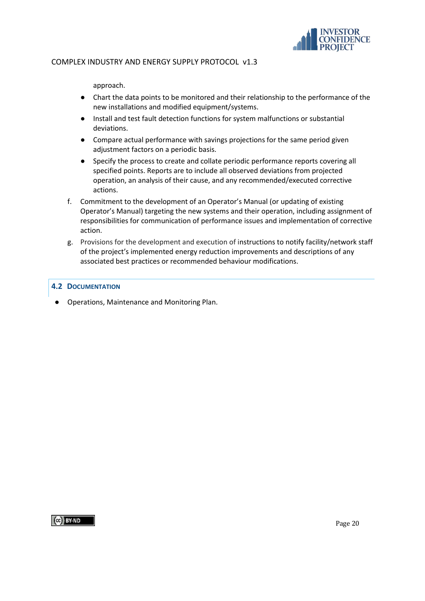

approach.

- Chart the data points to be monitored and their relationship to the performance of the new installations and modified equipment/systems.
- Install and test fault detection functions for system malfunctions or substantial deviations.
- Compare actual performance with savings projections for the same period given adjustment factors on a periodic basis.
- Specify the process to create and collate periodic performance reports covering all specified points. Reports are to include all observed deviations from projected operation, an analysis of their cause, and any recommended/executed corrective actions.
- f. Commitment to the development of an Operator's Manual (or updating of existing Operator's Manual) targeting the new systems and their operation, including assignment of responsibilities for communication of performance issues and implementation of corrective action.
- g. Provisions for the development and execution of instructions to notify facility/network staff of the project's implemented energy reduction improvements and descriptions of any associated best practices or recommended behaviour modifications.

#### <span id="page-19-0"></span>**4.2 DOCUMENTATION**

● Operations, Maintenance and Monitoring Plan.

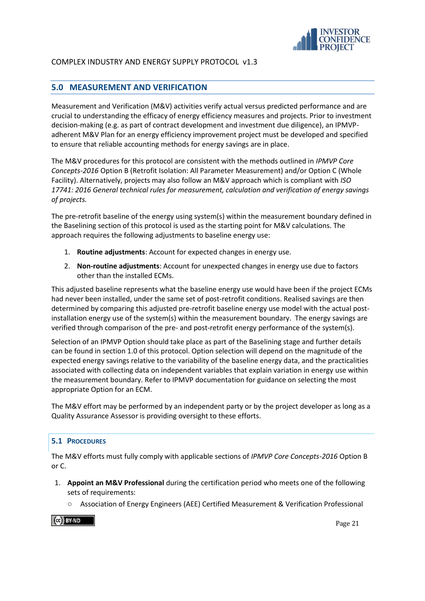

### <span id="page-20-0"></span>**5.0 MEASUREMENT AND VERIFICATION**

Measurement and Verification (M&V) activities verify actual versus predicted performance and are crucial to understanding the efficacy of energy efficiency measures and projects. Prior to investment decision-making (e.g. as part of contract development and investment due diligence), an IPMVPadherent M&V Plan for an energy efficiency improvement project must be developed and specified to ensure that reliable accounting methods for energy savings are in place.

The M&V procedures for this protocol are consistent with the methods outlined in *IPMVP Core Concepts-2016* Option B (Retrofit Isolation: All Parameter Measurement) and/or Option C (Whole Facility). Alternatively, projects may also follow an M&V approach which is compliant with *ISO 17741: 2016 General technical rules for measurement, calculation and verification of energy savings of projects.*

The pre-retrofit baseline of the energy using system(s) within the measurement boundary defined in the Baselining section of this protocol is used as the starting point for M&V calculations. The approach requires the following adjustments to baseline energy use:

- 1. **Routine adjustments**: Account for expected changes in energy use.
- 2. **Non-routine adjustments**: Account for unexpected changes in energy use due to factors other than the installed ECMs.

This adjusted baseline represents what the baseline energy use would have been if the project ECMs had never been installed, under the same set of post-retrofit conditions. Realised savings are then determined by comparing this adjusted pre-retrofit baseline energy use model with the actual postinstallation energy use of the system(s) within the measurement boundary. The energy savings are verified through comparison of the pre- and post-retrofit energy performance of the system(s).

Selection of an IPMVP Option should take place as part of the Baselining stage and further details can be found in section 1.0 of this protocol. Option selection will depend on the magnitude of the expected energy savings relative to the variability of the baseline energy data, and the practicalities associated with collecting data on independent variables that explain variation in energy use within the measurement boundary. Refer to IPMVP documentation for guidance on selecting the most appropriate Option for an ECM.

The M&V effort may be performed by an independent party or by the project developer as long as a Quality Assurance Assessor is providing oversight to these efforts.

#### <span id="page-20-1"></span>**5.1 PROCEDURES**

The M&V efforts must fully comply with applicable sections of *IPMVP Core Concepts-2016* Option B or C.

- 1. **Appoint an M&V Professional** during the certification period who meets one of the following sets of requirements:
	- Association of Energy Engineers (AEE) Certified Measurement & Verification Professional



Page 21